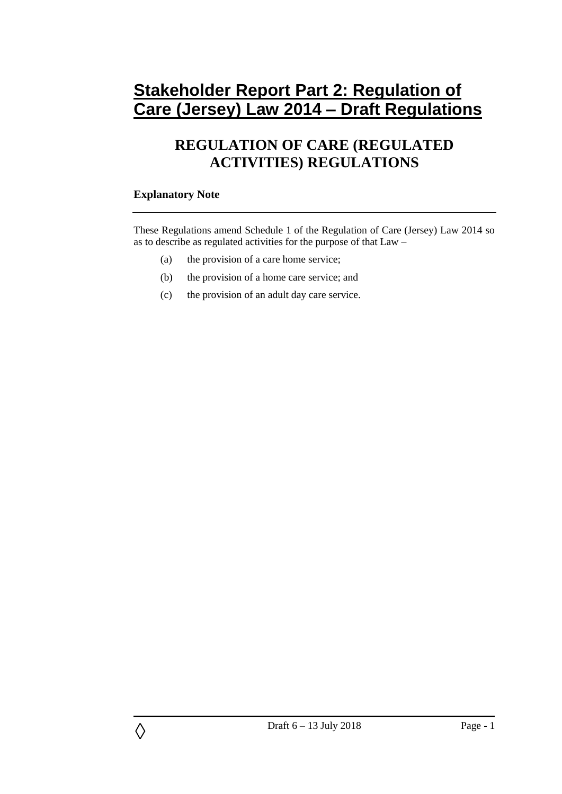# **Stakeholder Report Part 2: Regulation of Care (Jersey) Law 2014 – Draft Regulations**

# **REGULATION OF CARE (REGULATED ACTIVITIES) REGULATIONS**

# **Explanatory Note**

◊

These Regulations amend Schedule 1 of the Regulation of Care (Jersey) Law 2014 so as to describe as regulated activities for the purpose of that Law –

- (a) the provision of a care home service;
- (b) the provision of a home care service; and
- (c) the provision of an adult day care service.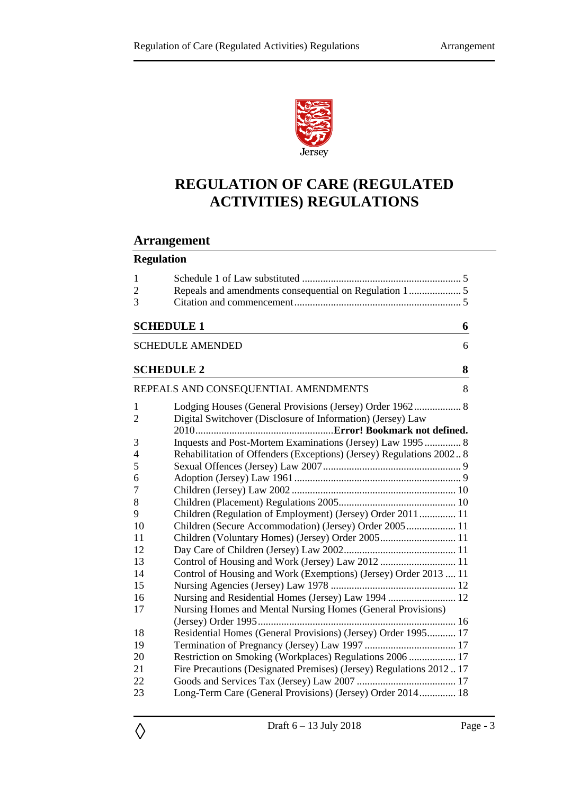

# **REGULATION OF CARE (REGULATED ACTIVITIES) REGULATIONS**

# **Arrangement**

# **Regulation**

| $\mathbf{1}$<br>$\overline{2}$ |                                                                      |  |  |  |  |  |
|--------------------------------|----------------------------------------------------------------------|--|--|--|--|--|
| 3                              |                                                                      |  |  |  |  |  |
| <b>SCHEDULE 1</b><br>6         |                                                                      |  |  |  |  |  |
| <b>SCHEDULE AMENDED</b><br>6   |                                                                      |  |  |  |  |  |
| <b>SCHEDULE 2</b>              | 8                                                                    |  |  |  |  |  |
|                                | REPEALS AND CONSEQUENTIAL AMENDMENTS<br>8                            |  |  |  |  |  |
| 1                              |                                                                      |  |  |  |  |  |
| $\overline{2}$                 | Digital Switchover (Disclosure of Information) (Jersey) Law          |  |  |  |  |  |
|                                |                                                                      |  |  |  |  |  |
| 3                              | Inquests and Post-Mortem Examinations (Jersey) Law 1995 8            |  |  |  |  |  |
| 4                              | Rehabilitation of Offenders (Exceptions) (Jersey) Regulations 2002 8 |  |  |  |  |  |
| 5                              |                                                                      |  |  |  |  |  |
| 6                              |                                                                      |  |  |  |  |  |
| 7                              |                                                                      |  |  |  |  |  |
| 8                              |                                                                      |  |  |  |  |  |
| 9                              | Children (Regulation of Employment) (Jersey) Order 2011  11          |  |  |  |  |  |
| 10                             | Children (Secure Accommodation) (Jersey) Order 2005 11               |  |  |  |  |  |
| 11                             | Children (Voluntary Homes) (Jersey) Order 2005 11                    |  |  |  |  |  |
| 12                             |                                                                      |  |  |  |  |  |
| 13                             |                                                                      |  |  |  |  |  |
| 14                             | Control of Housing and Work (Exemptions) (Jersey) Order 2013  11     |  |  |  |  |  |
| 15                             |                                                                      |  |  |  |  |  |
| 16                             | Nursing and Residential Homes (Jersey) Law 1994  12                  |  |  |  |  |  |
| 17                             | Nursing Homes and Mental Nursing Homes (General Provisions)          |  |  |  |  |  |
|                                |                                                                      |  |  |  |  |  |
| 18<br>19                       | Residential Homes (General Provisions) (Jersey) Order 1995 17        |  |  |  |  |  |
| 20                             | Restriction on Smoking (Workplaces) Regulations 2006  17             |  |  |  |  |  |
| 21                             | Fire Precautions (Designated Premises) (Jersey) Regulations 201217   |  |  |  |  |  |
| 22                             |                                                                      |  |  |  |  |  |
| 23                             | Long-Term Care (General Provisions) (Jersey) Order 2014 18           |  |  |  |  |  |
|                                |                                                                      |  |  |  |  |  |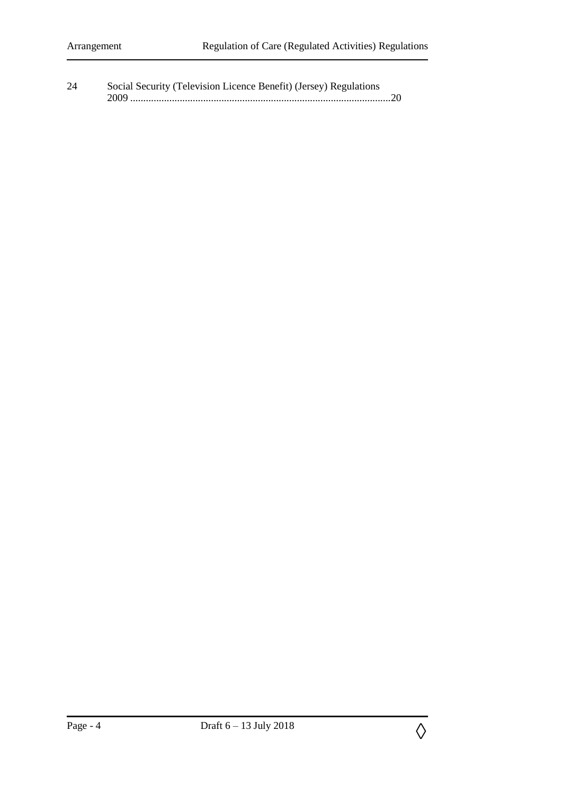| 24 | Social Security (Television Licence Benefit) (Jersey) Regulations |
|----|-------------------------------------------------------------------|
|    | 2009                                                              |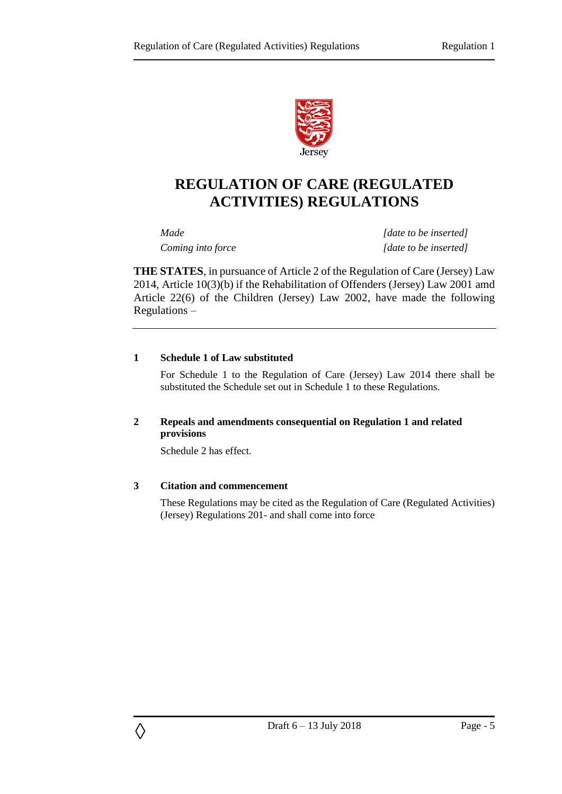

# **REGULATION OF CARE (REGULATED ACTIVITIES) REGULATIONS**

*Made [date to be inserted] Coming into force [date to be inserted]*

**THE STATES**, in pursuance of Article 2 of the Regulation of Care (Jersey) Law 2014, Article 10(3)(b) if the Rehabilitation of Offenders (Jersey) Law 2001 amd Article 22(6) of the Children (Jersey) Law 2002, have made the following Regulations –

#### <span id="page-4-0"></span>**1 Schedule 1 of Law substituted**

For Schedule 1 to the Regulation of Care (Jersey) Law 2014 there shall be substituted the Schedule set out in Schedule 1 to these Regulations.

#### <span id="page-4-1"></span>**2 Repeals and amendments consequential on Regulation 1 and related provisions**

Schedule 2 has effect.

#### <span id="page-4-2"></span>**3 Citation and commencement**

◊

These Regulations may be cited as the Regulation of Care (Regulated Activities) (Jersey) Regulations 201- and shall come into force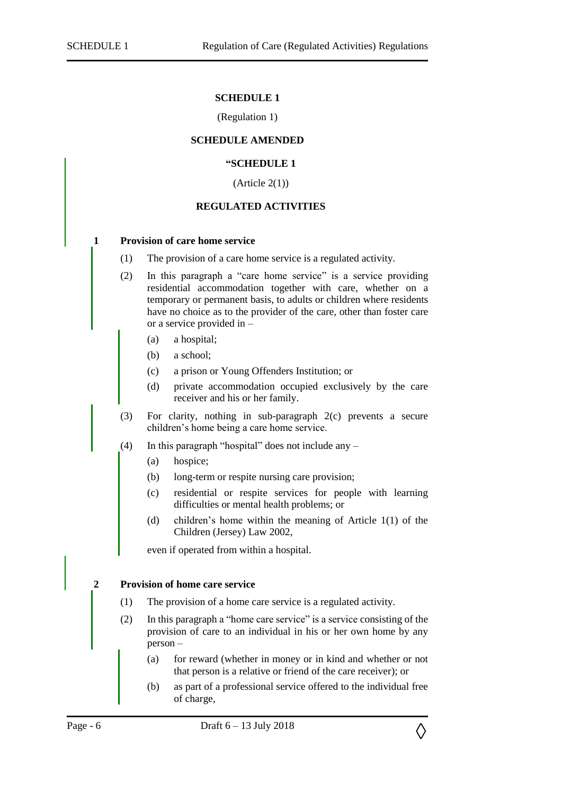#### **SCHEDULE 1**

#### (Regulation 1)

#### <span id="page-5-0"></span>**SCHEDULE AMENDED**

#### **"SCHEDULE 1**

 $(A$ rticle  $2(1)$ 

#### **REGULATED ACTIVITIES**

#### <span id="page-5-1"></span>**1 Provision of care home service**

- (1) The provision of a care home service is a regulated activity.
- (2) In this paragraph a "care home service" is a service providing residential accommodation together with care, whether on a temporary or permanent basis, to adults or children where residents have no choice as to the provider of the care, other than foster care or a service provided in –
	- (a) a hospital;
	- (b) a school;
	- (c) a prison or Young Offenders Institution; or
	- (d) private accommodation occupied exclusively by the care receiver and his or her family.
- (3) For clarity, nothing in sub-paragraph 2(c) prevents a secure children's home being a care home service.
- (4) In this paragraph "hospital" does not include any
	- (a) hospice;
	- (b) long-term or respite nursing care provision;
	- (c) residential or respite services for people with learning difficulties or mental health problems; or
	- (d) children's home within the meaning of Article 1(1) of the Children (Jersey) Law 2002,

even if operated from within a hospital.

#### **2 Provision of home care service**

- (1) The provision of a home care service is a regulated activity.
- (2) In this paragraph a "home care service" is a service consisting of the provision of care to an individual in his or her own home by any person –
	- (a) for reward (whether in money or in kind and whether or not that person is a relative or friend of the care receiver); or
	- (b) as part of a professional service offered to the individual free of charge,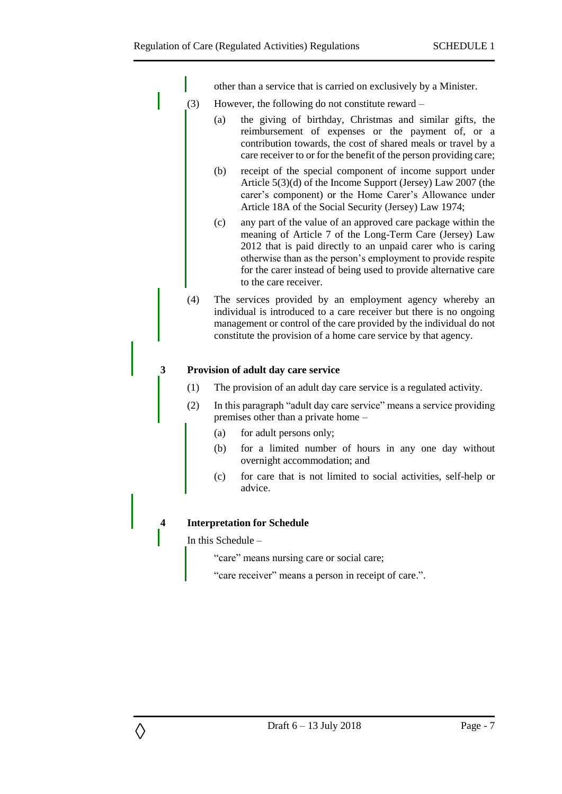other than a service that is carried on exclusively by a Minister.

- (3) However, the following do not constitute reward
	- (a) the giving of birthday, Christmas and similar gifts, the reimbursement of expenses or the payment of, or a contribution towards, the cost of shared meals or travel by a care receiver to or for the benefit of the person providing care;
	- (b) receipt of the special component of income support under Article 5(3)(d) of the Income Support (Jersey) Law 2007 (the carer's component) or the Home Carer's Allowance under Article 18A of the Social Security (Jersey) Law 1974;
	- (c) any part of the value of an approved care package within the meaning of Article 7 of the Long-Term Care (Jersey) Law 2012 that is paid directly to an unpaid carer who is caring otherwise than as the person's employment to provide respite for the carer instead of being used to provide alternative care to the care receiver.
- (4) The services provided by an employment agency whereby an individual is introduced to a care receiver but there is no ongoing management or control of the care provided by the individual do not constitute the provision of a home care service by that agency.

## **3 Provision of adult day care service**

- (1) The provision of an adult day care service is a regulated activity.
- (2) In this paragraph "adult day care service" means a service providing premises other than a private home –
	- (a) for adult persons only;
	- (b) for a limited number of hours in any one day without overnight accommodation; and
	- (c) for care that is not limited to social activities, self-help or advice.

#### **4 Interpretation for Schedule**

In this Schedule –

◊

"care" means nursing care or social care;

"care receiver" means a person in receipt of care.".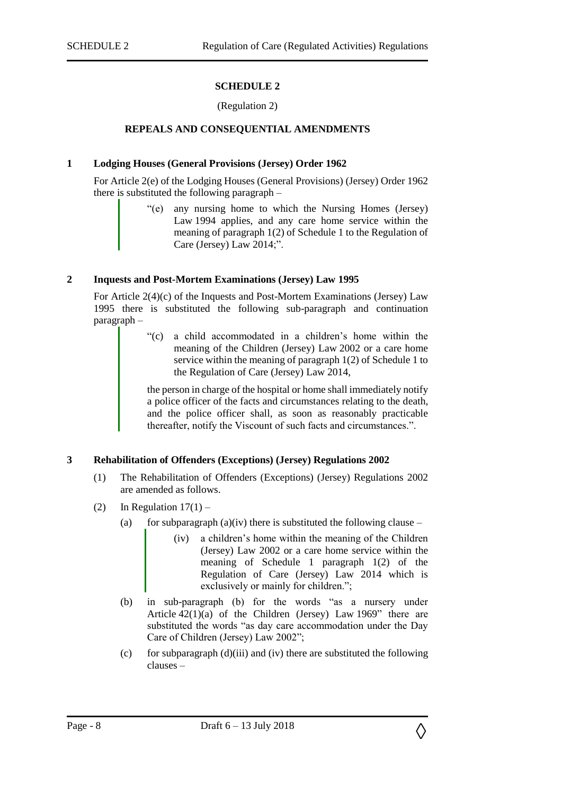#### **SCHEDULE 2**

#### (Regulation 2)

#### <span id="page-7-0"></span>**REPEALS AND CONSEQUENTIAL AMENDMENTS**

#### <span id="page-7-2"></span><span id="page-7-1"></span>**1 Lodging Houses (General Provisions (Jersey) Order 1962**

For Article 2(e) of the Lodging Houses (General Provisions) (Jersey) Order 1962 there is substituted the following paragraph –

> "(e) any nursing home to which the Nursing Homes (Jersey) Law 1994 applies, and any care home service within the meaning of paragraph 1(2) of Schedule 1 to the Regulation of Care (Jersey) Law 2014;".

#### <span id="page-7-3"></span>**2 Inquests and Post-Mortem Examinations (Jersey) Law 1995**

For Article 2(4)(c) of the Inquests and Post-Mortem Examinations (Jersey) Law 1995 there is substituted the following sub-paragraph and continuation paragraph –

> "(c) a child accommodated in a children's home within the meaning of the Children (Jersey) Law 2002 or a care home service within the meaning of paragraph 1(2) of Schedule 1 to the Regulation of Care (Jersey) Law 2014,

> the person in charge of the hospital or home shall immediately notify a police officer of the facts and circumstances relating to the death, and the police officer shall, as soon as reasonably practicable thereafter, notify the Viscount of such facts and circumstances.".

#### <span id="page-7-4"></span>**3 Rehabilitation of Offenders (Exceptions) (Jersey) Regulations 2002**

- (1) The Rehabilitation of Offenders (Exceptions) (Jersey) Regulations 2002 are amended as follows.
- (2) In Regulation  $17(1)$ 
	- (a) for subparagraph (a)(iv) there is substituted the following clause
		- (iv) a children's home within the meaning of the Children (Jersey) Law 2002 or a care home service within the meaning of Schedule 1 paragraph 1(2) of the Regulation of Care (Jersey) Law 2014 which is exclusively or mainly for children.";
	- (b) in sub-paragraph (b) for the words "as a nursery under Article 42(1)(a) of the Children (Jersey) Law 1969" there are substituted the words "as day care accommodation under the Day Care of Children (Jersey) Law 2002";
	- (c) for subparagraph  $(d)(iii)$  and (iv) there are substituted the following clauses –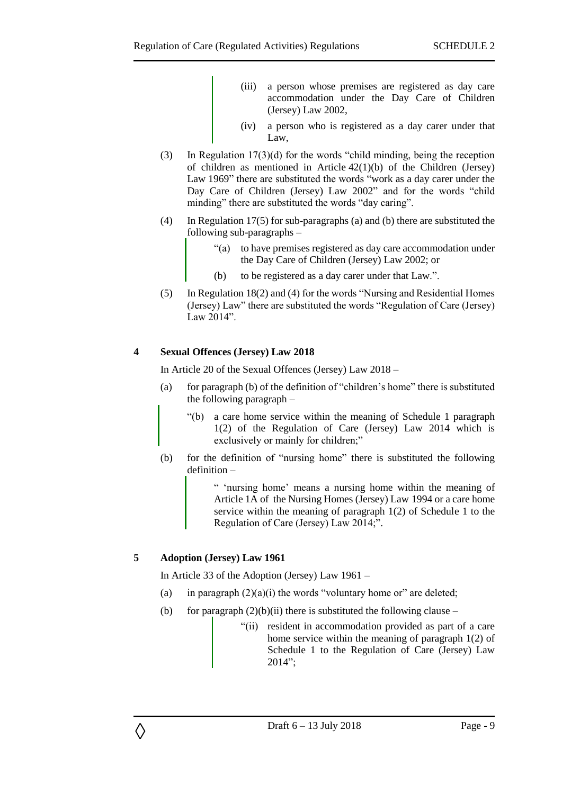- (iii) a person whose premises are registered as day care accommodation under the Day Care of Children (Jersey) Law 2002,
- (iv) a person who is registered as a day carer under that Law,
- (3) In Regulation 17(3)(d) for the words "child minding, being the reception of children as mentioned in Article 42(1)(b) of the Children (Jersey) Law 1969" there are substituted the words "work as a day carer under the Day Care of Children (Jersey) Law 2002" and for the words "child minding" there are substituted the words "day caring".
- (4) In Regulation 17(5) for sub-paragraphs (a) and (b) there are substituted the following sub-paragraphs –
	- "(a) to have premises registered as day care accommodation under the Day Care of Children (Jersey) Law 2002; or
	- (b) to be registered as a day carer under that Law.".
- (5) In Regulation 18(2) and (4) for the words "Nursing and Residential Homes (Jersey) Law" there are substituted the words "Regulation of Care (Jersey) Law 2014".

## <span id="page-8-0"></span>**4 Sexual Offences (Jersey) Law 2018**

In Article 20 of the Sexual Offences (Jersey) Law 2018 –

- (a) for paragraph (b) of the definition of "children's home" there is substituted the following paragraph –
	- "(b) a care home service within the meaning of Schedule 1 paragraph 1(2) of the Regulation of Care (Jersey) Law 2014 which is exclusively or mainly for children;"
- (b) for the definition of "nursing home" there is substituted the following definition –

" 'nursing home' means a nursing home within the meaning of Article 1A of the Nursing Homes (Jersey) Law 1994 or a care home service within the meaning of paragraph 1(2) of Schedule 1 to the Regulation of Care (Jersey) Law 2014;".

#### <span id="page-8-1"></span>**5 Adoption (Jersey) Law 1961**

◊

In Article 33 of the Adoption (Jersey) Law 1961 –

- (a) in paragraph  $(2)(a)(i)$  the words "voluntary home or" are deleted;
- (b) for paragraph  $(2)(b)(ii)$  there is substituted the following clause
	- "(ii) resident in accommodation provided as part of a care home service within the meaning of paragraph 1(2) of Schedule 1 to the Regulation of Care (Jersey) Law 2014";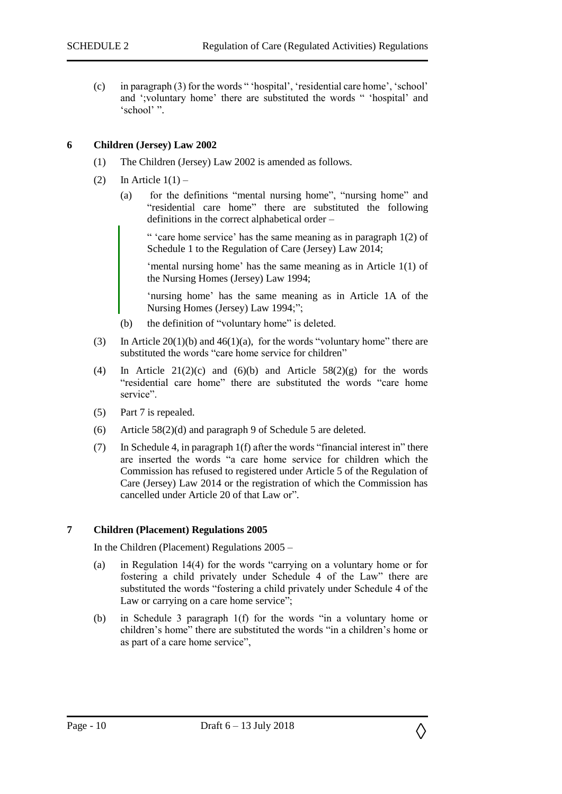(c) in paragraph (3) for the words " 'hospital', 'residential care home', 'school' and ';voluntary home' there are substituted the words " 'hospital' and 'school' ".

#### <span id="page-9-0"></span>**6 Children (Jersey) Law 2002**

- (1) The Children (Jersey) Law 2002 is amended as follows.
- (2) In Article  $1(1)$ 
	- (a) for the definitions "mental nursing home", "nursing home" and "residential care home" there are substituted the following definitions in the correct alphabetical order –

" 'care home service' has the same meaning as in paragraph 1(2) of Schedule 1 to the Regulation of Care (Jersey) Law 2014;

'mental nursing home' has the same meaning as in Article 1(1) of the Nursing Homes (Jersey) Law 1994;

'nursing home' has the same meaning as in Article 1A of the Nursing Homes (Jersey) Law 1994;";

- (b) the definition of "voluntary home" is deleted.
- (3) In Article  $20(1)(b)$  and  $46(1)(a)$ , for the words "voluntary home" there are substituted the words "care home service for children"
- (4) In Article  $21(2)(c)$  and  $(6)(b)$  and Article  $58(2)(g)$  for the words "residential care home" there are substituted the words "care home service".
- (5) Part 7 is repealed.
- (6) Article 58(2)(d) and paragraph 9 of Schedule 5 are deleted.
- (7) In Schedule 4, in paragraph 1(f) after the words "financial interest in" there are inserted the words "a care home service for children which the Commission has refused to registered under Article 5 of the Regulation of Care (Jersey) Law 2014 or the registration of which the Commission has cancelled under Article 20 of that Law or".

#### <span id="page-9-1"></span>**7 Children (Placement) Regulations 2005**

In the Children (Placement) Regulations 2005 –

- (a) in Regulation 14(4) for the words "carrying on a voluntary home or for fostering a child privately under Schedule 4 of the Law" there are substituted the words "fostering a child privately under Schedule 4 of the Law or carrying on a care home service":
- (b) in Schedule 3 paragraph 1(f) for the words "in a voluntary home or children's home" there are substituted the words "in a children's home or as part of a care home service",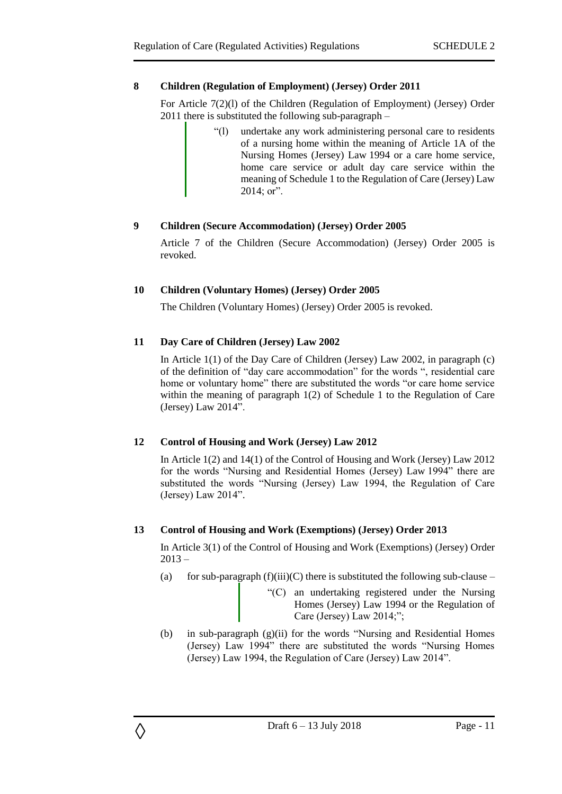## <span id="page-10-0"></span>**8 Children (Regulation of Employment) (Jersey) Order 2011**

For Article 7(2)(l) of the Children (Regulation of Employment) (Jersey) Order 2011 there is substituted the following sub-paragraph –

> "(l) undertake any work administering personal care to residents of a nursing home within the meaning of Article 1A of the Nursing Homes (Jersey) Law 1994 or a care home service, home care service or adult day care service within the meaning of Schedule 1 to the Regulation of Care (Jersey) Law 2014; or".

## <span id="page-10-1"></span>**9 Children (Secure Accommodation) (Jersey) Order 2005**

Article 7 of the Children (Secure Accommodation) (Jersey) Order 2005 is revoked.

## <span id="page-10-2"></span>**10 Children (Voluntary Homes) (Jersey) Order 2005**

The Children (Voluntary Homes) (Jersey) Order 2005 is revoked.

# <span id="page-10-3"></span>**11 Day Care of Children (Jersey) Law 2002**

In Article 1(1) of the Day Care of Children (Jersey) Law 2002, in paragraph (c) of the definition of "day care accommodation" for the words ", residential care home or voluntary home" there are substituted the words "or care home service within the meaning of paragraph 1(2) of Schedule 1 to the Regulation of Care (Jersey) Law 2014".

# <span id="page-10-4"></span>**12 Control of Housing and Work (Jersey) Law 2012**

◊

In Article 1(2) and 14(1) of the Control of Housing and Work (Jersey) Law 2012 for the words "Nursing and Residential Homes (Jersey) Law 1994" there are substituted the words "Nursing (Jersey) Law 1994, the Regulation of Care (Jersey) Law 2014".

#### <span id="page-10-5"></span>**13 Control of Housing and Work (Exemptions) (Jersey) Order 2013**

In Article 3(1) of the Control of Housing and Work (Exemptions) (Jersey) Order  $2013 -$ 

- (a) for sub-paragraph  $(f)(iii)(C)$  there is substituted the following sub-clause
	- "(C) an undertaking registered under the Nursing Homes (Jersey) Law 1994 or the Regulation of Care (Jersey) Law 2014;";
- (b) in sub-paragraph (g)(ii) for the words "Nursing and Residential Homes (Jersey) Law 1994" there are substituted the words "Nursing Homes (Jersey) Law 1994, the Regulation of Care (Jersey) Law 2014".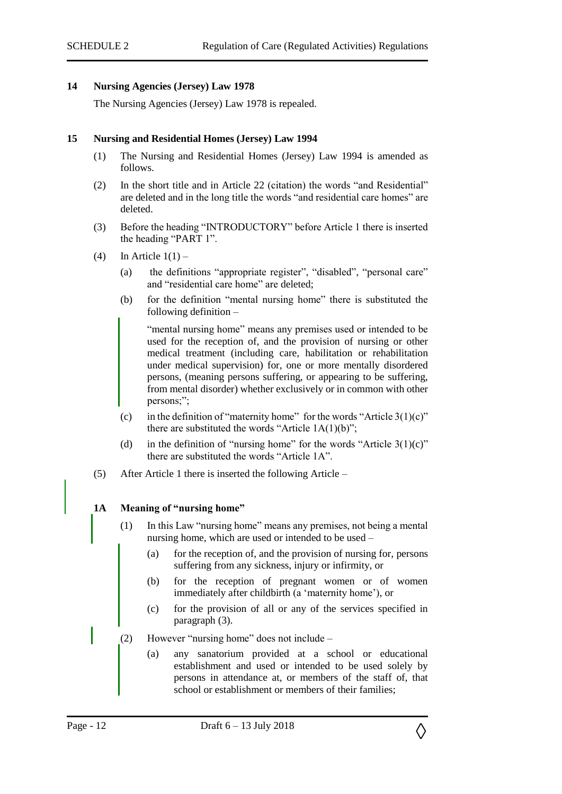#### <span id="page-11-0"></span>**14 Nursing Agencies (Jersey) Law 1978**

The Nursing Agencies (Jersey) Law 1978 is repealed.

#### <span id="page-11-1"></span>**15 Nursing and Residential Homes (Jersey) Law 1994**

- (1) The Nursing and Residential Homes (Jersey) Law 1994 is amended as follows.
- (2) In the short title and in Article 22 (citation) the words "and Residential" are deleted and in the long title the words "and residential care homes" are deleted.
- (3) Before the heading "INTRODUCTORY" before Article 1 there is inserted the heading "PART 1".
- (4) In Article  $1(1)$ 
	- (a) the definitions "appropriate register", "disabled", "personal care" and "residential care home" are deleted;
	- (b) for the definition "mental nursing home" there is substituted the following definition –

"mental nursing home" means any premises used or intended to be used for the reception of, and the provision of nursing or other medical treatment (including care, habilitation or rehabilitation under medical supervision) for, one or more mentally disordered persons, (meaning persons suffering, or appearing to be suffering, from mental disorder) whether exclusively or in common with other persons;";

- (c) in the definition of "maternity home" for the words "Article  $3(1)(c)$ " there are substituted the words "Article  $1A(1)(b)$ ";
- (d) in the definition of "nursing home" for the words "Article  $3(1)(c)$ " there are substituted the words "Article 1A".
- (5) After Article 1 there is inserted the following Article –

#### **1A Meaning of "nursing home"**

- (1) In this Law "nursing home" means any premises, not being a mental nursing home, which are used or intended to be used –
	- (a) for the reception of, and the provision of nursing for, persons suffering from any sickness, injury or infirmity, or
	- (b) for the reception of pregnant women or of women immediately after childbirth (a 'maternity home'), or
	- (c) for the provision of all or any of the services specified in paragraph (3).
- (2) However "nursing home" does not include
	- (a) any sanatorium provided at a school or educational establishment and used or intended to be used solely by persons in attendance at, or members of the staff of, that school or establishment or members of their families;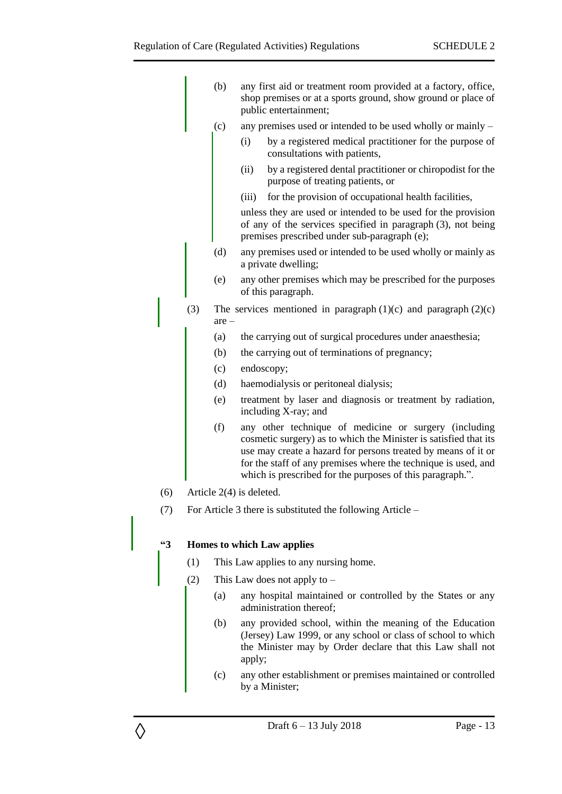|               |                                   | (b)                                                          |                                | any first aid or treatment room provided at a factory, office,<br>shop premises or at a sports ground, show ground or place of<br>public entertainment;                                                                                                                                                                   |  |  |  |
|---------------|-----------------------------------|--------------------------------------------------------------|--------------------------------|---------------------------------------------------------------------------------------------------------------------------------------------------------------------------------------------------------------------------------------------------------------------------------------------------------------------------|--|--|--|
|               |                                   | (c)                                                          |                                | any premises used or intended to be used wholly or mainly –                                                                                                                                                                                                                                                               |  |  |  |
|               |                                   |                                                              | (i)                            | by a registered medical practitioner for the purpose of<br>consultations with patients,                                                                                                                                                                                                                                   |  |  |  |
|               |                                   |                                                              | (ii)                           | by a registered dental practitioner or chiropodist for the<br>purpose of treating patients, or                                                                                                                                                                                                                            |  |  |  |
|               |                                   |                                                              | (iii)                          | for the provision of occupational health facilities,                                                                                                                                                                                                                                                                      |  |  |  |
|               |                                   |                                                              |                                | unless they are used or intended to be used for the provision<br>of any of the services specified in paragraph (3), not being<br>premises prescribed under sub-paragraph (e);                                                                                                                                             |  |  |  |
|               |                                   | (d)                                                          |                                | any premises used or intended to be used wholly or mainly as<br>a private dwelling;                                                                                                                                                                                                                                       |  |  |  |
|               |                                   | (e)                                                          |                                | any other premises which may be prescribed for the purposes<br>of this paragraph.                                                                                                                                                                                                                                         |  |  |  |
|               | (3)                               | $are -$                                                      |                                | The services mentioned in paragraph $(1)(c)$ and paragraph $(2)(c)$                                                                                                                                                                                                                                                       |  |  |  |
|               |                                   | (a)                                                          |                                | the carrying out of surgical procedures under anaesthesia;                                                                                                                                                                                                                                                                |  |  |  |
|               |                                   | (b)                                                          |                                | the carrying out of terminations of pregnancy;                                                                                                                                                                                                                                                                            |  |  |  |
|               |                                   | (c)                                                          |                                | endoscopy;                                                                                                                                                                                                                                                                                                                |  |  |  |
|               |                                   | (d)                                                          |                                | haemodialysis or peritoneal dialysis;                                                                                                                                                                                                                                                                                     |  |  |  |
|               |                                   | (e)                                                          |                                | treatment by laser and diagnosis or treatment by radiation,<br>including X-ray; and                                                                                                                                                                                                                                       |  |  |  |
|               |                                   | (f)                                                          |                                | any other technique of medicine or surgery (including<br>cosmetic surgery) as to which the Minister is satisfied that its<br>use may create a hazard for persons treated by means of it or<br>for the staff of any premises where the technique is used, and<br>which is prescribed for the purposes of this paragraph.". |  |  |  |
| (6)           |                                   | Article 2(4) is deleted.                                     |                                |                                                                                                                                                                                                                                                                                                                           |  |  |  |
| (7)           |                                   | For Article 3 there is substituted the following Article $-$ |                                |                                                                                                                                                                                                                                                                                                                           |  |  |  |
| $\mathbf{43}$ | <b>Homes to which Law applies</b> |                                                              |                                |                                                                                                                                                                                                                                                                                                                           |  |  |  |
|               | (1)                               |                                                              |                                | This Law applies to any nursing home.                                                                                                                                                                                                                                                                                     |  |  |  |
|               | (2)                               |                                                              | This Law does not apply to $-$ |                                                                                                                                                                                                                                                                                                                           |  |  |  |
|               |                                   | (a)                                                          |                                | any hospital maintained or controlled by the States or any<br>administration thereof;                                                                                                                                                                                                                                     |  |  |  |
|               |                                   | (b)                                                          | apply;                         | any provided school, within the meaning of the Education<br>(Jersey) Law 1999, or any school or class of school to which<br>the Minister may by Order declare that this Law shall not                                                                                                                                     |  |  |  |
|               |                                   | (c)                                                          |                                | any other establishment or premises maintained or controlled<br>by a Minister;                                                                                                                                                                                                                                            |  |  |  |

◊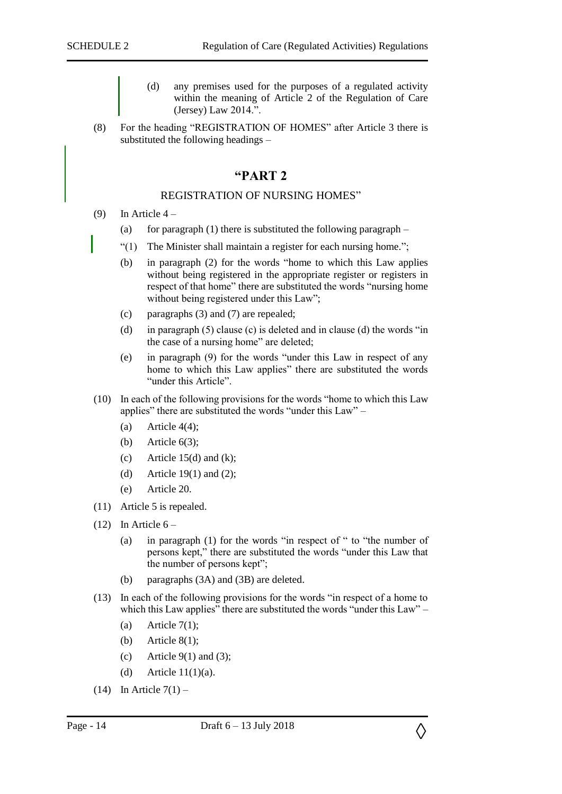- (d) any premises used for the purposes of a regulated activity within the meaning of Article 2 of the Regulation of Care (Jersey) Law 2014.".
- (8) For the heading "REGISTRATION OF HOMES" after Article 3 there is substituted the following headings –

# **"PART 2**

#### REGISTRATION OF NURSING HOMES"

- (9) In Article  $4 -$ 
	- (a) for paragraph (1) there is substituted the following paragraph  $-$
	- "(1) The Minister shall maintain a register for each nursing home.";
	- (b) in paragraph (2) for the words "home to which this Law applies without being registered in the appropriate register or registers in respect of that home" there are substituted the words "nursing home without being registered under this Law";
	- (c) paragraphs (3) and (7) are repealed;
	- (d) in paragraph (5) clause (c) is deleted and in clause (d) the words "in the case of a nursing home" are deleted;
	- (e) in paragraph (9) for the words "under this Law in respect of any home to which this Law applies" there are substituted the words "under this Article".
- (10) In each of the following provisions for the words "home to which this Law applies" there are substituted the words "under this Law" –
	- (a) Article  $4(4)$ ;
	- (b) Article  $6(3)$ ;
	- (c) Article 15(d) and (k);
	- (d) Article 19(1) and (2);
	- (e) Article 20.
- (11) Article 5 is repealed.
- $(12)$  In Article  $6 -$ 
	- (a) in paragraph (1) for the words "in respect of " to "the number of persons kept," there are substituted the words "under this Law that the number of persons kept";
	- (b) paragraphs (3A) and (3B) are deleted.
- (13) In each of the following provisions for the words "in respect of a home to which this Law applies" there are substituted the words "under this Law" –
	- (a) Article  $7(1)$ ;
	- (b) Article  $8(1)$ ;
	- (c) Article  $9(1)$  and (3);
	- (d) Article  $11(1)(a)$ .
- $(14)$  In Article  $7(1)$  –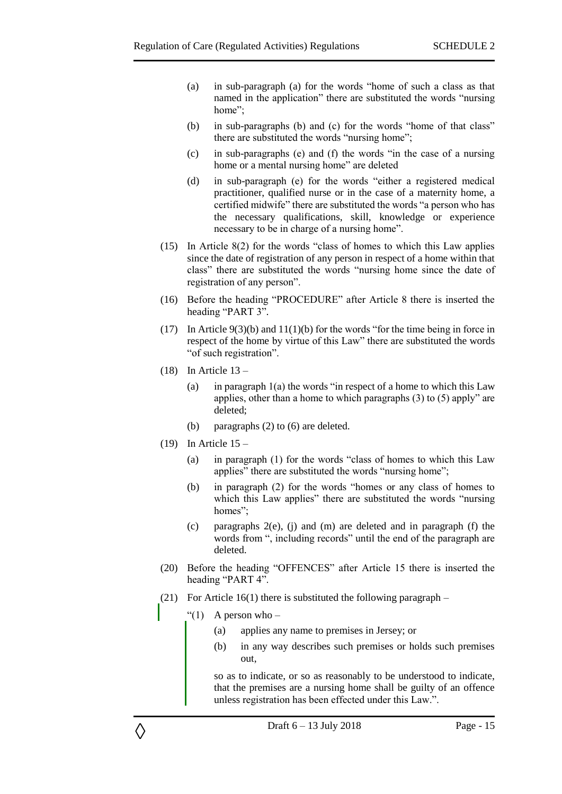- (a) in sub-paragraph (a) for the words "home of such a class as that named in the application" there are substituted the words "nursing home";
- (b) in sub-paragraphs (b) and (c) for the words "home of that class" there are substituted the words "nursing home";
- (c) in sub-paragraphs (e) and (f) the words "in the case of a nursing home or a mental nursing home" are deleted
- (d) in sub-paragraph (e) for the words "either a registered medical practitioner, qualified nurse or in the case of a maternity home, a certified midwife" there are substituted the words "a person who has the necessary qualifications, skill, knowledge or experience necessary to be in charge of a nursing home".
- (15) In Article 8(2) for the words "class of homes to which this Law applies since the date of registration of any person in respect of a home within that class" there are substituted the words "nursing home since the date of registration of any person".
- (16) Before the heading "PROCEDURE" after Article 8 there is inserted the heading "PART 3".
- (17) In Article 9(3)(b) and 11(1)(b) for the words "for the time being in force in respect of the home by virtue of this Law" there are substituted the words "of such registration".
- $(18)$  In Article  $13 -$ 
	- (a) in paragraph  $1(a)$  the words "in respect of a home to which this Law applies, other than a home to which paragraphs (3) to (5) apply" are deleted;
	- (b) paragraphs (2) to (6) are deleted.
- $(19)$  In Article  $15 -$ 
	- (a) in paragraph (1) for the words "class of homes to which this Law applies" there are substituted the words "nursing home";
	- (b) in paragraph (2) for the words "homes or any class of homes to which this Law applies" there are substituted the words "nursing homes";
	- (c) paragraphs 2(e), (j) and (m) are deleted and in paragraph (f) the words from ", including records" until the end of the paragraph are deleted.
- (20) Before the heading "OFFENCES" after Article 15 there is inserted the heading "PART 4".
- (21) For Article  $16(1)$  there is substituted the following paragraph
	- "(1) A person who  $-$

◊

- (a) applies any name to premises in Jersey; or
- (b) in any way describes such premises or holds such premises out,

so as to indicate, or so as reasonably to be understood to indicate, that the premises are a nursing home shall be guilty of an offence unless registration has been effected under this Law.".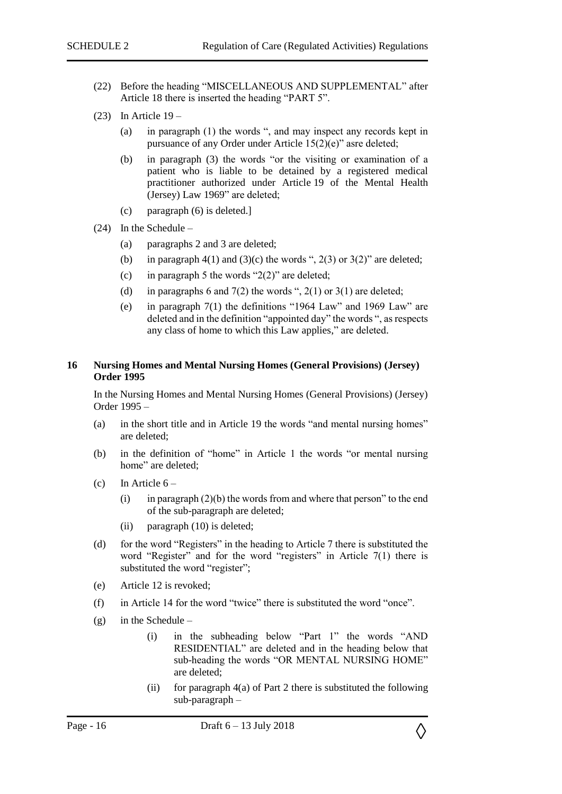- (22) Before the heading "MISCELLANEOUS AND SUPPLEMENTAL" after Article 18 there is inserted the heading "PART 5".
- $(23)$  In Article 19
	- (a) in paragraph (1) the words ", and may inspect any records kept in pursuance of any Order under Article 15(2)(e)" asre deleted;
	- (b) in paragraph (3) the words "or the visiting or examination of a patient who is liable to be detained by a registered medical practitioner authorized under Article 19 of the Mental Health (Jersey) Law 1969" are deleted;
	- (c) paragraph (6) is deleted.]
- (24) In the Schedule
	- (a) paragraphs 2 and 3 are deleted;
	- (b) in paragraph  $4(1)$  and  $(3)(c)$  the words ",  $2(3)$  or  $3(2)$ " are deleted;
	- (c) in paragraph 5 the words " $2(2)$ " are deleted;
	- (d) in paragraphs 6 and  $7(2)$  the words ",  $2(1)$  or  $3(1)$  are deleted;
	- (e) in paragraph 7(1) the definitions "1964 Law" and 1969 Law" are deleted and in the definition "appointed day" the words ", as respects any class of home to which this Law applies," are deleted.

#### <span id="page-15-0"></span>**16 Nursing Homes and Mental Nursing Homes (General Provisions) (Jersey) Order 1995**

In the Nursing Homes and Mental Nursing Homes (General Provisions) (Jersey) Order 1995 –

- (a) in the short title and in Article 19 the words "and mental nursing homes" are deleted;
- (b) in the definition of "home" in Article 1 the words "or mental nursing home" are deleted;
- (c) In Article  $6 -$ 
	- (i) in paragraph  $(2)(b)$  the words from and where that person" to the end of the sub-paragraph are deleted;
	- (ii) paragraph (10) is deleted;
- (d) for the word "Registers" in the heading to Article 7 there is substituted the word "Register" and for the word "registers" in Article 7(1) there is substituted the word "register";
- (e) Article 12 is revoked;
- (f) in Article 14 for the word "twice" there is substituted the word "once".
- (g) in the Schedule
	- (i) in the subheading below "Part 1" the words "AND RESIDENTIAL" are deleted and in the heading below that sub-heading the words "OR MENTAL NURSING HOME" are deleted;
	- (ii) for paragraph  $4(a)$  of Part 2 there is substituted the following sub-paragraph –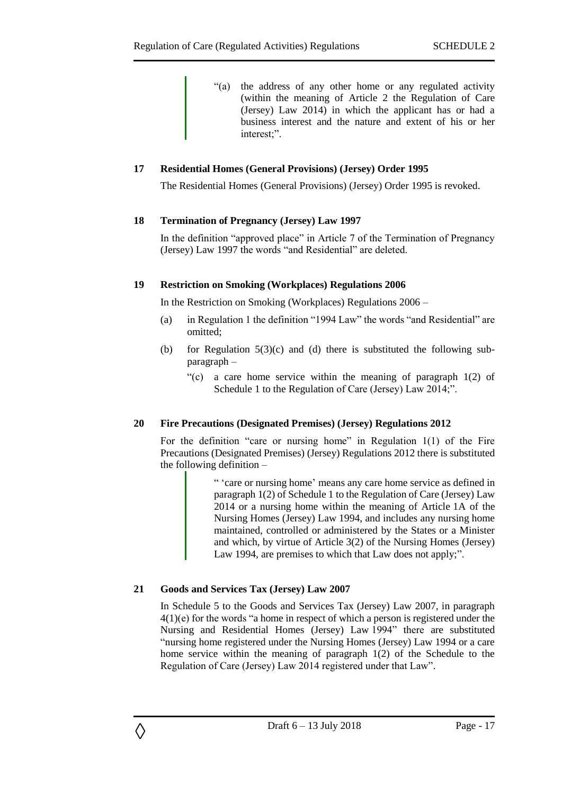"(a) the address of any other home or any regulated activity (within the meaning of Article 2 the Regulation of Care (Jersey) Law 2014) in which the applicant has or had a business interest and the nature and extent of his or her interest;".

#### <span id="page-16-0"></span>**17 Residential Homes (General Provisions) (Jersey) Order 1995**

The Residential Homes (General Provisions) (Jersey) Order 1995 is revoked.

#### <span id="page-16-1"></span>**18 Termination of Pregnancy (Jersey) Law 1997**

In the definition "approved place" in Article 7 of the Termination of Pregnancy (Jersey) Law 1997 the words "and Residential" are deleted.

#### <span id="page-16-2"></span>**19 Restriction on Smoking (Workplaces) Regulations 2006**

In the Restriction on Smoking (Workplaces) Regulations 2006 –

- (a) in Regulation 1 the definition "1994 Law" the words "and Residential" are omitted;
- (b) for Regulation 5(3)(c) and (d) there is substituted the following subparagraph –
	- "(c) a care home service within the meaning of paragraph 1(2) of Schedule 1 to the Regulation of Care (Jersey) Law 2014;".

#### <span id="page-16-3"></span>**20 Fire Precautions (Designated Premises) (Jersey) Regulations 2012**

For the definition "care or nursing home" in Regulation 1(1) of the Fire Precautions (Designated Premises) (Jersey) Regulations 2012 there is substituted the following definition –

> " 'care or nursing home' means any care home service as defined in paragraph 1(2) of Schedule 1 to the Regulation of Care (Jersey) Law 2014 or a nursing home within the meaning of Article 1A of the Nursing Homes (Jersey) Law 1994, and includes any nursing home maintained, controlled or administered by the States or a Minister and which, by virtue of Article 3(2) of the Nursing Homes (Jersey) Law 1994, are premises to which that Law does not apply;".

# <span id="page-16-4"></span>**21 Goods and Services Tax (Jersey) Law 2007**

◊

<span id="page-16-5"></span>In Schedule 5 to the Goods and Services Tax (Jersey) Law 2007, in paragraph 4(1)(e) for the words "a home in respect of which a person is registered under the Nursing and Residential Homes (Jersey) Law 1994" there are substituted "nursing home registered under the Nursing Homes (Jersey) Law 1994 or a care home service within the meaning of paragraph 1(2) of the Schedule to the Regulation of Care (Jersey) Law 2014 registered under that Law".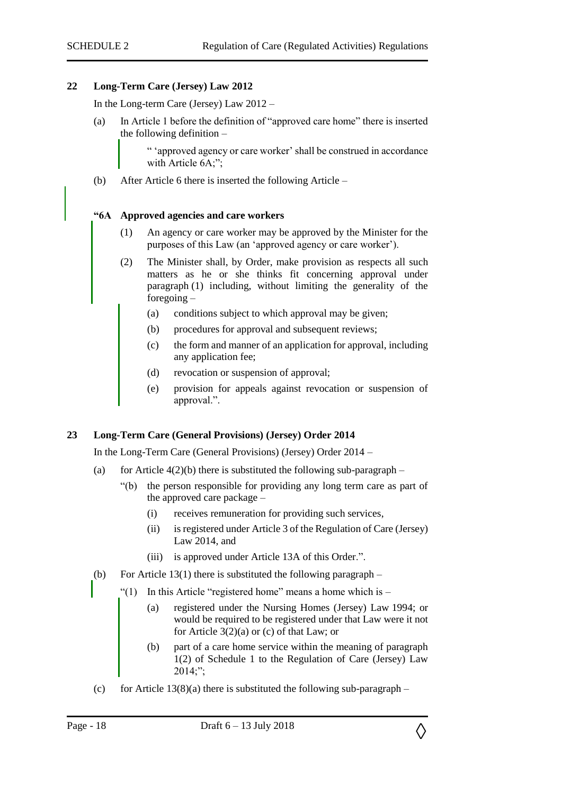#### **22 Long-Term Care (Jersey) Law 2012**

In the Long-term Care (Jersey) Law 2012 –

(a) In Article 1 before the definition of "approved care home" there is inserted the following definition –

> " 'approved agency or care worker' shall be construed in accordance with Article 6A;";

(b) After Article 6 there is inserted the following Article –

#### **"6A Approved agencies and care workers**

- (1) An agency or care worker may be approved by the Minister for the purposes of this Law (an 'approved agency or care worker').
- (2) The Minister shall, by Order, make provision as respects all such matters as he or she thinks fit concerning approval under paragraph (1) including, without limiting the generality of the foregoing –
	- (a) conditions subject to which approval may be given;
	- (b) procedures for approval and subsequent reviews;
	- (c) the form and manner of an application for approval, including any application fee;
	- (d) revocation or suspension of approval;
	- (e) provision for appeals against revocation or suspension of approval.".

#### **23 Long-Term Care (General Provisions) (Jersey) Order 2014**

In the Long-Term Care (General Provisions) (Jersey) Order 2014 –

- (a) for Article  $4(2)(b)$  there is substituted the following sub-paragraph
	- "(b) the person responsible for providing any long term care as part of the approved care package –
		- (i) receives remuneration for providing such services,
		- (ii) is registered under Article 3 of the Regulation of Care (Jersey) Law 2014, and
		- (iii) is approved under Article 13A of this Order.".
- (b) For Article 13(1) there is substituted the following paragraph  $-$ 
	- "(1) In this Article "registered home" means a home which is  $-$ 
		- (a) registered under the Nursing Homes (Jersey) Law 1994; or would be required to be registered under that Law were it not for Article 3(2)(a) or (c) of that Law; or
		- (b) part of a care home service within the meaning of paragraph 1(2) of Schedule 1 to the Regulation of Care (Jersey) Law 2014;";
- (c) for Article  $13(8)(a)$  there is substituted the following sub-paragraph –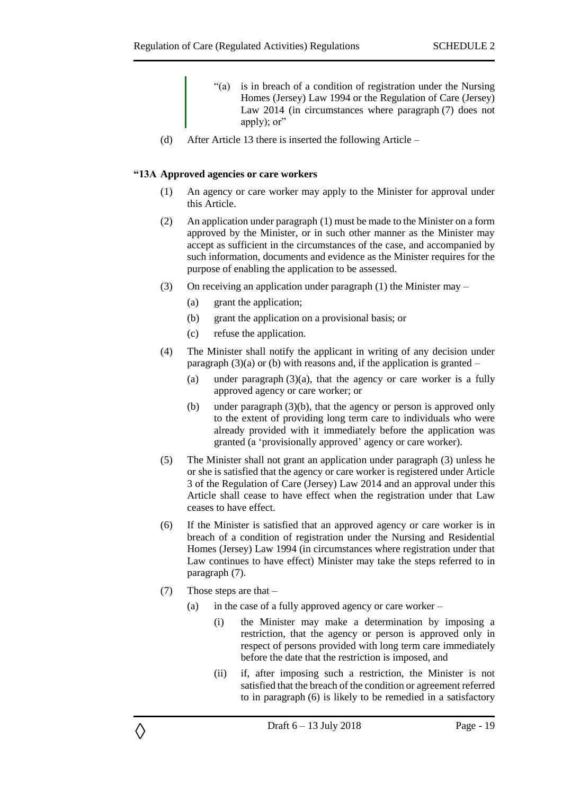- "(a) is in breach of a condition of registration under the Nursing Homes (Jersey) Law 1994 or the Regulation of Care (Jersey) Law 2014 (in circumstances where paragraph (7) does not apply); or"
- (d) After Article 13 there is inserted the following Article –

#### **"13A Approved agencies or care workers**

- (1) An agency or care worker may apply to the Minister for approval under this Article.
- (2) An application under paragraph (1) must be made to the Minister on a form approved by the Minister, or in such other manner as the Minister may accept as sufficient in the circumstances of the case, and accompanied by such information, documents and evidence as the Minister requires for the purpose of enabling the application to be assessed.
- (3) On receiving an application under paragraph (1) the Minister may
	- (a) grant the application;
	- (b) grant the application on a provisional basis; or
	- (c) refuse the application.
- (4) The Minister shall notify the applicant in writing of any decision under paragraph  $(3)(a)$  or (b) with reasons and, if the application is granted –
	- (a) under paragraph  $(3)(a)$ , that the agency or care worker is a fully approved agency or care worker; or
	- (b) under paragraph (3)(b), that the agency or person is approved only to the extent of providing long term care to individuals who were already provided with it immediately before the application was granted (a 'provisionally approved' agency or care worker).
- (5) The Minister shall not grant an application under paragraph (3) unless he or she is satisfied that the agency or care worker is registered under Article 3 of the Regulation of Care (Jersey) Law 2014 and an approval under this Article shall cease to have effect when the registration under that Law ceases to have effect.
- (6) If the Minister is satisfied that an approved agency or care worker is in breach of a condition of registration under the Nursing and Residential Homes (Jersey) Law 1994 (in circumstances where registration under that Law continues to have effect) Minister may take the steps referred to in paragraph (7).
- (7) Those steps are that –

◊

- (a) in the case of a fully approved agency or care worker
	- (i) the Minister may make a determination by imposing a restriction, that the agency or person is approved only in respect of persons provided with long term care immediately before the date that the restriction is imposed, and
	- (ii) if, after imposing such a restriction, the Minister is not satisfied that the breach of the condition or agreement referred to in paragraph (6) is likely to be remedied in a satisfactory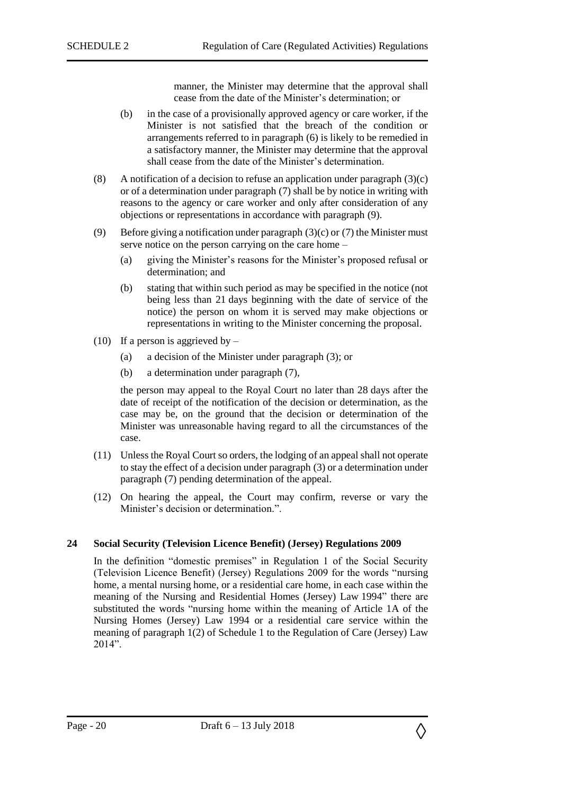manner, the Minister may determine that the approval shall cease from the date of the Minister's determination; or

- (b) in the case of a provisionally approved agency or care worker, if the Minister is not satisfied that the breach of the condition or arrangements referred to in paragraph (6) is likely to be remedied in a satisfactory manner, the Minister may determine that the approval shall cease from the date of the Minister's determination.
- (8) A notification of a decision to refuse an application under paragraph  $(3)(c)$ or of a determination under paragraph (7) shall be by notice in writing with reasons to the agency or care worker and only after consideration of any objections or representations in accordance with paragraph (9).
- (9) Before giving a notification under paragraph (3)(c) or (7) the Minister must serve notice on the person carrying on the care home –
	- (a) giving the Minister's reasons for the Minister's proposed refusal or determination; and
	- (b) stating that within such period as may be specified in the notice (not being less than 21 days beginning with the date of service of the notice) the person on whom it is served may make objections or representations in writing to the Minister concerning the proposal.
- (10) If a person is aggrieved by  $-$ 
	- (a) a decision of the Minister under paragraph (3); or
	- (b) a determination under paragraph (7),

the person may appeal to the Royal Court no later than 28 days after the date of receipt of the notification of the decision or determination, as the case may be, on the ground that the decision or determination of the Minister was unreasonable having regard to all the circumstances of the case.

- (11) Unless the Royal Court so orders, the lodging of an appeal shall not operate to stay the effect of a decision under paragraph (3) or a determination under paragraph (7) pending determination of the appeal.
- (12) On hearing the appeal, the Court may confirm, reverse or vary the Minister's decision or determination.".

#### <span id="page-19-0"></span>**24 Social Security (Television Licence Benefit) (Jersey) Regulations 2009**

In the definition "domestic premises" in Regulation 1 of the Social Security (Television Licence Benefit) (Jersey) Regulations 2009 for the words "nursing home, a mental nursing home, or a residential care home, in each case within the meaning of the Nursing and Residential Homes (Jersey) Law 1994" there are substituted the words "nursing home within the meaning of Article 1A of the Nursing Homes (Jersey) Law 1994 or a residential care service within the meaning of paragraph 1(2) of Schedule 1 to the Regulation of Care (Jersey) Law 2014".